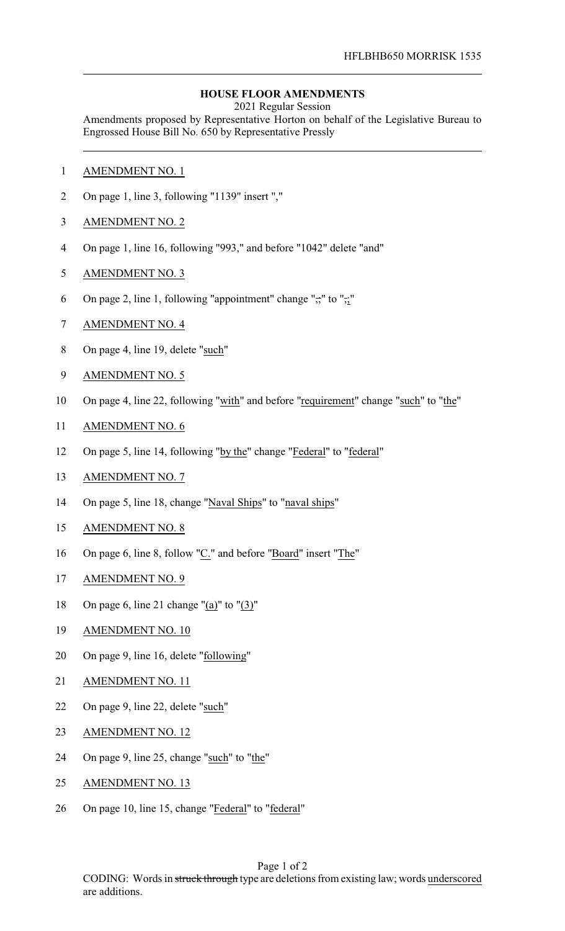## **HOUSE FLOOR AMENDMENTS**

2021 Regular Session

Amendments proposed by Representative Horton on behalf of the Legislative Bureau to Engrossed House Bill No. 650 by Representative Pressly

- AMENDMENT NO. 1
- On page 1, line 3, following "1139" insert ","
- AMENDMENT NO. 2
- On page 1, line 16, following "993," and before "1042" delete "and"
- AMENDMENT NO. 3
- 6 On page 2, line 1, following "appointment" change " $\div$ " to " $\div$ "
- AMENDMENT NO. 4
- On page 4, line 19, delete "such"
- AMENDMENT NO. 5
- On page 4, line 22, following "with" and before "requirement" change "such" to "the"
- AMENDMENT NO. 6
- On page 5, line 14, following "by the" change "Federal" to "federal"
- AMENDMENT NO. 7
- 14 On page 5, line 18, change "Naval Ships" to "naval ships"
- AMENDMENT NO. 8
- On page 6, line 8, follow "C." and before "Board" insert "The"
- AMENDMENT NO. 9
- On page 6, line 21 change "(a)" to "(3)"
- AMENDMENT NO. 10
- On page 9, line 16, delete "following"
- AMENDMENT NO. 11
- 22 On page 9, line 22, delete "such"
- AMENDMENT NO. 12
- 24 On page 9, line 25, change "such" to "the"
- 25 AMENDMENT NO. 13
- On page 10, line 15, change "Federal" to "federal"

Page 1 of 2